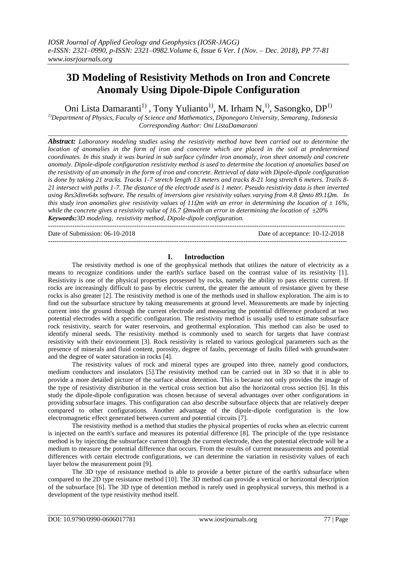# **3D Modeling of Resistivity Methods on Iron and Concrete Anomaly Using Dipole-Dipole Configuration**

Oni Lista Damaranti<sup>1)</sup>, Tony Yulianto<sup>1</sup>, M. Irham N,<sup>1</sup>, Sasongko, DP<sup>1)</sup>

*1)Department of Physics, Faculty of Science and Mathematics, Diponegoro University, Semarang, Indonesia Corresponding Author: Oni ListaDamaranti*

\_\_\_\_\_\_\_\_\_\_\_\_\_\_\_\_\_\_\_\_\_\_\_\_\_\_\_\_\_\_\_\_\_\_\_\_\_\_\_\_\_\_\_\_\_\_\_\_\_\_\_\_\_\_\_\_\_\_\_\_\_\_\_\_\_\_\_\_\_\_\_\_\_\_\_\_\_\_\_\_\_\_\_\_\_\_\_\_\_\_

*Abstract: Laboratory modeling studies using the resistivity method have been carried out to determine the location of anomalies in the form of iron and concrete which are placed in the soil at predetermined coordinates. In this study it was buried in sub surface cylinder iron anomaly, iron sheet anomaly and concrete anomaly. Dipole-dipole configuration resistivity method is used to determine the location of anomalies based on the resistivity of an anomaly in the form of iron and concrete. Retrieval of data with Dipole-dipole configuration is done by taking 21 tracks. Tracks 1-7 stretch length 13 meters and tracks 8-21 long stretch 6 meters. Trails 8- 21 intersect with paths 1-7. The distance of the electrode used is 1 meter. Pseudo resistivity data is then inverted using Res3dinv64x software. The results of inversions give resistivity values varying from 4.8 Qmto 89.1Qm. In this study iron anomalies give resistivity values of 11Qm with an error in determining the location of*  $\pm 16\%$ *, while the concrete gives a resistivity value of 16.7 ῼmwith an error in determining the location of ±20% Keywords:3D modeling, resistivity method, Dipole-dipole configuration.*

Date of Submission: 06-10-2018 Date of acceptance: 10-12-2018

# **I. Introduction**

---------------------------------------------------------------------------------------------------------------------------------------

The resistivity method is one of the geophysical methods that utilizes the nature of electricity as a means to recognize conditions under the earth's surface based on the contrast value of its resistivity [1]. Resistivity is one of the physical properties possessed by rocks, namely the ability to pass electric current. If rocks are increasingly difficult to pass by electric current, the greater the amount of resistance given by these rocks is also greater [2]. The resistivity method is one of the methods used in shallow exploration. The aim is to find out the subsurface structure by taking measurements at ground level. Measurements are made by injecting current into the ground through the current electrode and measuring the potential difference produced at two potential electrodes with a specific configuration. The resistivity method is usually used to estimate subsurface rock resistivity, search for water reservoirs, and geothermal exploration. This method can also be used to identify mineral seeds. The resistivity method is commonly used to search for targets that have contrast resistivity with their environment [3]. Rock resistivity is related to various geological parameters such as the presence of minerals and fluid content, porosity, degree of faults, percentage of faults filled with groundwater and the degree of water saturation in rocks [4].

The resistivity values of rock and mineral types are grouped into three, namely good conductors, medium conductors and insulators [5].The resistivity method can be carried out in 3D so that it is able to provide a more detailed picture of the surface about detention. This is because not only provides the image of the type of resistivity distribution in the vertical cross section but also the horizontal cross section [6]. In this study the dipole-dipole configuration was chosen because of several advantages over other configurations in providing subsurface images. This configuration can also describe subsurface objects that are relatively deeper compared to other configurations. Another advantage of the dipole-dipole configuration is the low electromagnetic effect generated between current and potential circuits [7].

The resistivity method is a method that studies the physical properties of rocks when an electric current is injected on the earth's surface and measures its potential difference [8]. The principle of the type resistance method is by injecting the subsurface current through the current electrode, then the potential electrode will be a medium to measure the potential difference that occurs. From the results of current measurements and potential differences with certain electrode configurations, we can determine the variation in resistivity values of each layer below the measurement point [9].

The 3D type of resistance method is able to provide a better picture of the earth's subsurface when compared to the 2D type resistance method [10]. The 3D method can provide a vertical or horizontal description of the subsurface [6]. The 3D type of detention method is rarely used in geophysical surveys, this method is a development of the type resistivity method itself.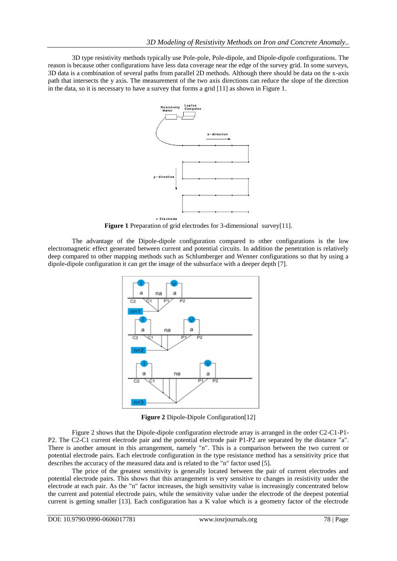3D type resistivity methods typically use Pole-pole, Pole-dipole, and Dipole-dipole configurations. The reason is because other configurations have less data coverage near the edge of the survey grid. In some surveys, 3D data is a combination of several paths from parallel 2D methods. Although there should be data on the x-axis path that intersects the y axis. The measurement of the two axis directions can reduce the slope of the direction in the data, so it is necessary to have a survey that forms a grid [11] as shown in Figure 1.



**Figure 1** Preparation of grid electrodes for 3-dimensional survey[11].

The advantage of the Dipole-dipole configuration compared to other configurations is the low electromagnetic effect generated between current and potential circuits. In addition the penetration is relatively deep compared to other mapping methods such as Schlumberger and Wenner configurations so that by using a dipole-dipole configuration it can get the image of the subsurface with a deeper depth [7].



**Figure 2** Dipole-Dipole Configuration[12]

Figure 2 shows that the Dipole-dipole configuration electrode array is arranged in the order C2-C1-P1- P2. The C2-C1 current electrode pair and the potential electrode pair P1-P2 are separated by the distance "a". There is another amount in this arrangement, namely "n". This is a comparison between the two current or potential electrode pairs. Each electrode configuration in the type resistance method has a sensitivity price that describes the accuracy of the measured data and is related to the "n" factor used [5].

The price of the greatest sensitivity is generally located between the pair of current electrodes and potential electrode pairs. This shows that this arrangement is very sensitive to changes in resistivity under the electrode at each pair. As the "n" factor increases, the high sensitivity value is increasingly concentrated below the current and potential electrode pairs, while the sensitivity value under the electrode of the deepest potential current is getting smaller [13]. Each configuration has a K value which is a geometry factor of the electrode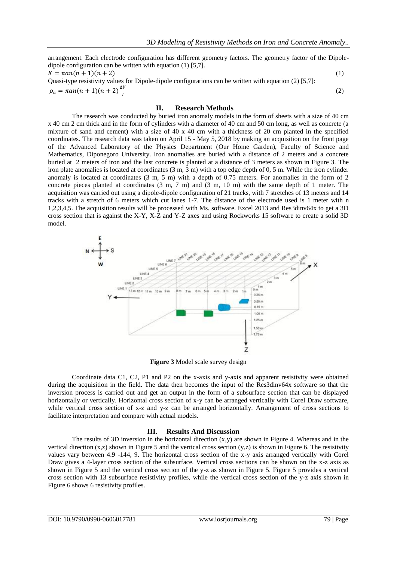arrangement. Each electrode configuration has different geometry factors. The geometry factor of the Dipoledipole configuration can be written with equation (1) [5,7].  $K = \pi a n(n + 1)(n + 2)$  (1) Quasi-type resistivity values for Dipole-dipole configurations can be written with equation (2) [5,7]:  $\rho_a = \pi a n(n+1)(n+2)\frac{\Delta V}{l}$ (2)

### **II. Research Methods**

I

The research was conducted by buried iron anomaly models in the form of sheets with a size of 40 cm x 40 cm 2 cm thick and in the form of cylinders with a diameter of 40 cm and 50 cm long, as well as concrete (a mixture of sand and cement) with a size of 40 x 40 cm with a thickness of 20 cm planted in the specified coordinates. The research data was taken on April 15 - May 5, 2018 by making an acquisition on the front page of the Advanced Laboratory of the Physics Department (Our Home Garden), Faculty of Science and Mathematics, Diponegoro University. Iron anomalies are buried with a distance of 2 meters and a concrete buried at 2 meters of iron and the last concrete is planted at a distance of 3 meters as shown in Figure 3. The iron plate anomalies is located at coordinates (3 m, 3 m) with a top edge depth of 0, 5 m. While the iron cylinder anomaly is located at coordinates (3 m, 5 m) with a depth of 0.75 meters. For anomalies in the form of 2 concrete pieces planted at coordinates  $(3 \text{ m}, 7 \text{ m})$  and  $(3 \text{ m}, 10 \text{ m})$  with the same depth of 1 meter. The acquisition was carried out using a dipole-dipole configuration of 21 tracks, with 7 stretches of 13 meters and 14 tracks with a stretch of 6 meters which cut lanes 1-7. The distance of the electrode used is 1 meter with n 1,2,3,4,5. The acquisition results will be processed with Ms. software. Excel 2013 and Res3dinv64x to get a 3D cross section that is against the X-Y, X-Z and Y-Z axes and using Rockworks 15 software to create a solid 3D model.



**Figure 3** Model scale survey design

Coordinate data C1, C2, P1 and P2 on the x-axis and y-axis and apparent resistivity were obtained during the acquisition in the field. The data then becomes the input of the Res3dinv64x software so that the inversion process is carried out and get an output in the form of a subsurface section that can be displayed horizontally or vertically. Horizontal cross section of x-y can be arranged vertically with Corel Draw software, while vertical cross section of x-z and y-z can be arranged horizontally. Arrangement of cross sections to facilitate interpretation and compare with actual models.

#### **III. Results And Discussion**

The results of 3D inversion in the horizontal direction  $(x,y)$  are shown in Figure 4. Whereas and in the vertical direction  $(x, z)$  shown in Figure 5 and the vertical cross section  $(y, z)$  is shown in Figure 6. The resistivity values vary between 4.9 -144, 9. The horizontal cross section of the x-y axis arranged vertically with Corel Draw gives a 4-layer cross section of the subsurface. Vertical cross sections can be shown on the x-z axis as shown in Figure 5 and the vertical cross section of the y-z as shown in Figure 5. Figure 5 provides a vertical cross section with 13 subsurface resistivity profiles, while the vertical cross section of the y-z axis shown in Figure 6 shows 6 resistivity profiles.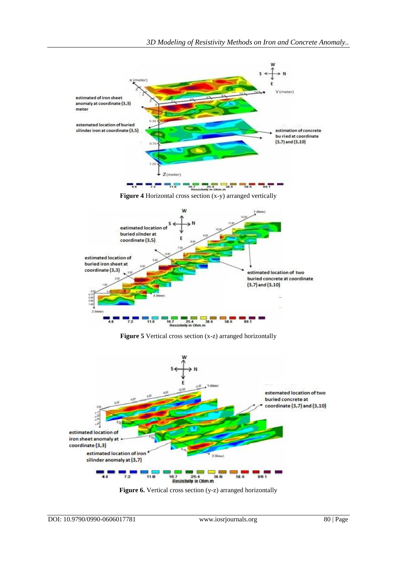

**Figure 5** Vertical cross section (x-z) arranged horizontally



Figure 6. Vertical cross section (y-z) arranged horizontally